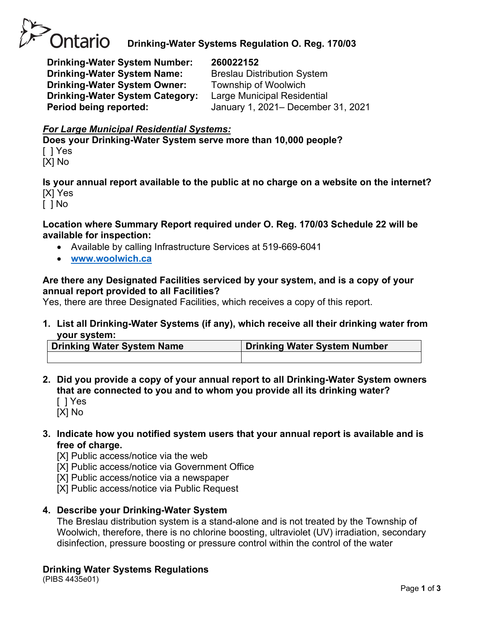

## **Drinking-Water Systems Regulation O. Reg. 170/03**

**Drinking-Water System Number: 260022152 Drinking-Water System Name:** Breslau Distribution System **Drinking-Water System Owner:** Township of Woolwich **Drinking-Water System Category:** Large Municipal Residential

**Period being reported:** January 1, 2021– December 31, 2021

## *For Large Municipal Residential Systems:*

**Does your Drinking-Water System serve more than 10,000 people?** [ ] Yes

[X] No

**Is your annual report available to the public at no charge on a website on the internet?** [X] Yes

[ ] No

## **Location where Summary Report required under O. Reg. 170/03 Schedule 22 will be available for inspection:**

- Available by calling Infrastructure Services at 519-669-6041
- **[www.woolwich.ca](http://www.woolwich.ca/)**

## **Are there any Designated Facilities serviced by your system, and is a copy of your annual report provided to all Facilities?**

Yes, there are three Designated Facilities, which receives a copy of this report.

**1. List all Drinking-Water Systems (if any), which receive all their drinking water from your system:**

| Drinking Water System Name | <b>Drinking Water System Number</b> |
|----------------------------|-------------------------------------|
|                            |                                     |

- **2. Did you provide a copy of your annual report to all Drinking-Water System owners that are connected to you and to whom you provide all its drinking water?**  [ ] Yes
	- [X] No
- **3. Indicate how you notified system users that your annual report is available and is free of charge.**

[X] Public access/notice via the web

[X] Public access/notice via Government Office

[X] Public access/notice via a newspaper

[X] Public access/notice via Public Request

## **4. Describe your Drinking-Water System**

The Breslau distribution system is a stand-alone and is not treated by the Township of Woolwich, therefore, there is no chlorine boosting, ultraviolet (UV) irradiation, secondary disinfection, pressure boosting or pressure control within the control of the water

## **Drinking Water Systems Regulations**

(PIBS 4435e01)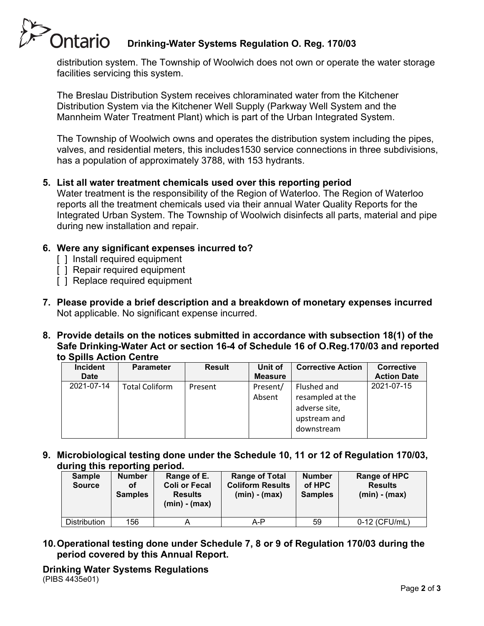# Ontario **Drinking-Water Systems Regulation O. Reg. 170/03**

distribution system. The Township of Woolwich does not own or operate the water storage facilities servicing this system.

The Breslau Distribution System receives chloraminated water from the Kitchener Distribution System via the Kitchener Well Supply (Parkway Well System and the Mannheim Water Treatment Plant) which is part of the Urban Integrated System.

The Township of Woolwich owns and operates the distribution system including the pipes, valves, and residential meters, this includes1530 service connections in three subdivisions, has a population of approximately 3788, with 153 hydrants.

## **5. List all water treatment chemicals used over this reporting period**

Water treatment is the responsibility of the Region of Waterloo. The Region of Waterloo reports all the treatment chemicals used via their annual Water Quality Reports for the Integrated Urban System. The Township of Woolwich disinfects all parts, material and pipe during new installation and repair.

## **6. Were any significant expenses incurred to?**

- [ ] Install required equipment
- [ ] Repair required equipment
- [ ] Replace required equipment
- **7. Please provide a brief description and a breakdown of monetary expenses incurred** Not applicable. No significant expense incurred.
- **8. Provide details on the notices submitted in accordance with subsection 18(1) of the Safe Drinking-Water Act or section 16-4 of Schedule 16 of O.Reg.170/03 and reported to Spills Action Centre**

| <b>Incident</b><br><b>Date</b> | <b>Parameter</b>      | <b>Result</b> | Unit of<br><b>Measure</b> | <b>Corrective Action</b>                                                       | Corrective<br><b>Action Date</b> |
|--------------------------------|-----------------------|---------------|---------------------------|--------------------------------------------------------------------------------|----------------------------------|
| 2021-07-14                     | <b>Total Coliform</b> | Present       | Present/<br>Absent        | Flushed and<br>resampled at the<br>adverse site,<br>upstream and<br>downstream | 2021-07-15                       |

**9. Microbiological testing done under the Schedule 10, 11 or 12 of Regulation 170/03, during this reporting period.**

| <b>Sample</b><br><b>Source</b> | - -<br><b>Number</b><br>οf<br><b>Samples</b> | Range of E.<br><b>Coli or Fecal</b><br><b>Results</b><br>$(min) - (max)$ | <b>Range of Total</b><br><b>Coliform Results</b><br>$(min) - (max)$ | <b>Number</b><br>of HPC<br><b>Samples</b> | <b>Range of HPC</b><br><b>Results</b><br>$(min) - (max)$ |
|--------------------------------|----------------------------------------------|--------------------------------------------------------------------------|---------------------------------------------------------------------|-------------------------------------------|----------------------------------------------------------|
| <b>Distribution</b>            | 156                                          |                                                                          | A-P                                                                 | 59                                        | 0-12 (CFU/mL)                                            |

**10.Operational testing done under Schedule 7, 8 or 9 of Regulation 170/03 during the period covered by this Annual Report.**

**Drinking Water Systems Regulations** (PIBS 4435e01)